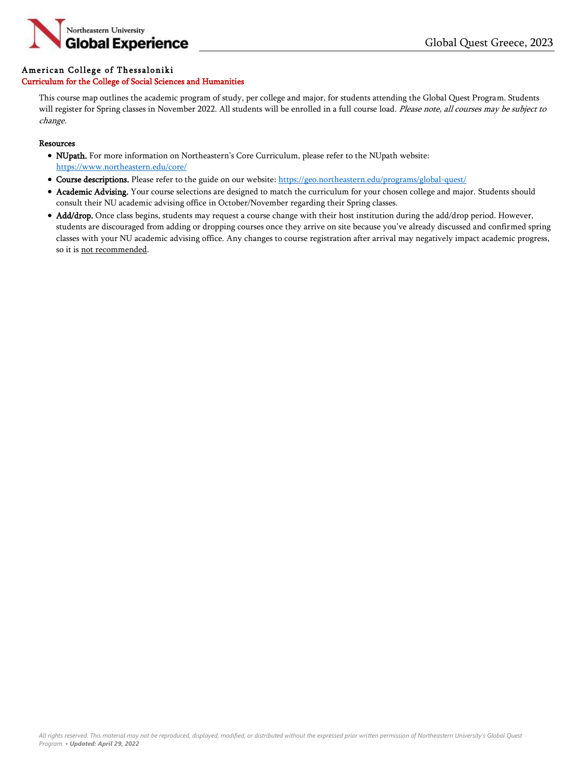

## American College of Thessaloniki

## Curriculum for the College of Social Sciences and Humanities

This course map outlines the academic program of study, per college and major, for students attending the Global Quest Program. Students will register for Spring classes in November 2022. All students will be enrolled in a full course load. Please note, all courses may be subject to change.

## Resources

- NUpath. For more information on Northeastern's Core Curriculum, please refer to the NUpath website: <https://www.northeastern.edu/core/>
- Course descriptions. Please refer to the guide on our website: <https://geo.northeastern.edu/programs/global-quest/>
- Academic Advising. Your course selections are designed to match the curriculum for your chosen college and major. Students should consult their NU academic advising office in October/November regarding their Spring classes.
- Add/drop. Once class begins, students may request a course change with their host institution during the add/drop period. However, students are discouraged from adding or dropping courses once they arrive on site because you've already discussed and confirmed spring classes with your NU academic advising office. Any changes to course registration after arrival may negatively impact academic progress, so it is not recommended.